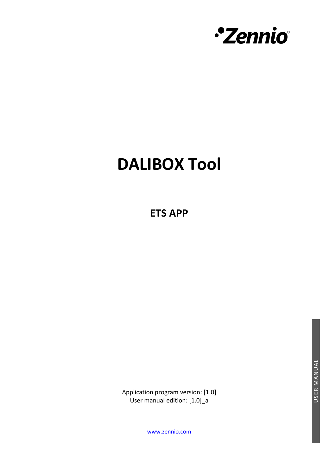

# **DALIBOX Tool**

**ETS APP**

Application program version: [1.0] User manual edition: [1.0]\_a

[www.zennio.com](http://www.zennio.com/)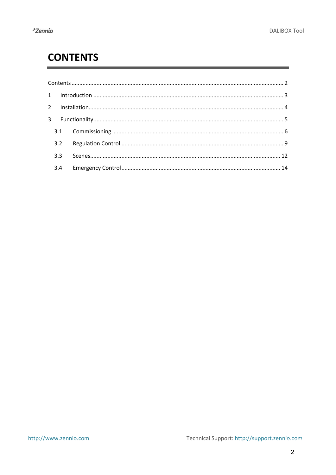## <span id="page-1-0"></span>**CONTENTS**

| 3.3 |  |
|-----|--|
| 3.4 |  |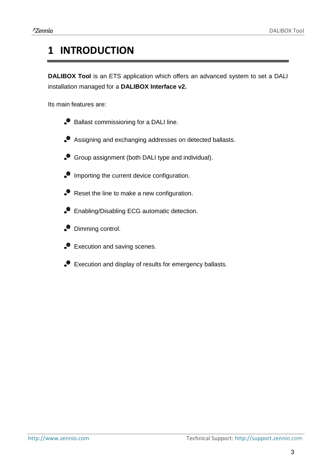## <span id="page-2-0"></span>**1 INTRODUCTION**

**DALIBOX Tool** is an ETS application which offers an advanced system to set a DALI installation managed for a **DALIBOX Interface v2.**

Its main features are:

- Ballast commissioning for a DALI line.
- Assigning and exchanging addresses on detected ballasts.
- Group assignment (both DALI type and individual).
- Importing the current device configuration.
- Reset the line to make a new configuration.
- Enabling/Disabling ECG automatic detection.
- Dimming control.
- Execution and saving scenes.
- Execution and display of results for emergency ballasts.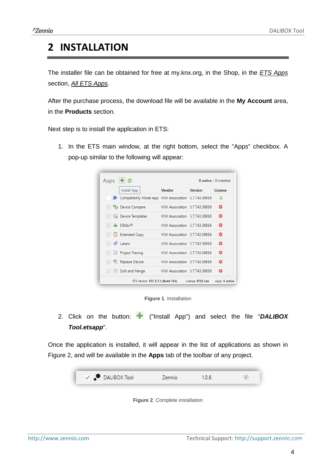## <span id="page-3-0"></span>**2 INSTALLATION**

The installer file can be obtained for free at my.knx.org, in the Shop, in the *ETS Apps* section, *All ETS Apps*.

After the purchase process, the download file will be available in the **My Account** area, in the **Products** section.

Next step is to install the application in ETS:

1. In the ETS main window, at the right bottom, select the "Apps" checkbox. A pop-up similar to the following will appear:

| Apps | 十さ                                |                               |                   | 0 active / 9 installed |
|------|-----------------------------------|-------------------------------|-------------------|------------------------|
|      | <b>Install App</b>                | Vendor                        | Version           | License                |
|      | Compatibility Mode App            | KNX Association 5.7.743.36956 |                   | G                      |
|      | <sup>1</sup> h Device Compare     | KNX Association 5.7.743.36956 |                   | Θ                      |
|      | Device Templates                  | KNX Association 5.7.743.36956 |                   | Θ                      |
|      | <b>b</b> EIBlib/IP                | KNX Association 5.7.743.36956 |                   | Θ                      |
|      | E Extended Copy                   | KNX Association 5774336956    |                   | Θ                      |
|      | Labels                            | KNX Association 5774336956    |                   | Θ                      |
| l≔l  | Project Tracing                   | KNX Association 5.7.743.36956 |                   | Θ                      |
|      | Replace Device                    | KNX Association 5.7.743.36956 |                   | Θ                      |
|      | Split and Merge                   | KNX Association 5.7.743.36956 |                   | Α                      |
|      | ETS Version ETS 5.7.2 (Build 743) |                               | License ETS5 Lite | Apps 0 active          |

**Figure 1**. Installation

2. Click on the button: **+** ("Install App") and select the file "**DALIBOX** *Tool.etsapp*".

Once the application is installed, it will appear in the list of applications as shown in [Figure 2,](#page-3-1) and will be available in the **Apps** tab of the toolbar of any project.

<span id="page-3-1"></span>

**Figure 2**. Complete installation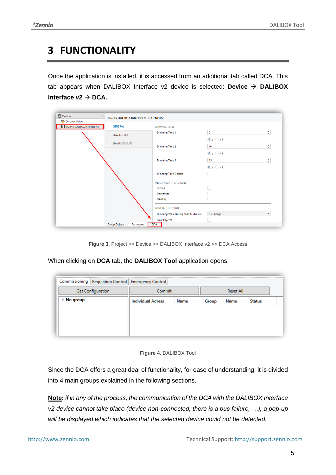## <span id="page-4-0"></span>**3 FUNCTIONALITY**

Once the application is installed, it is accessed from an additional tab called DCA. This tab appears when DALIBOX Interface  $v2$  device is selected: **Device**  $\rightarrow$  **DALIBOX** Interface  $v2 \rightarrow DCA$ .

| Devices<br>$\blacktriangledown$<br><b>Dynamic Folders</b> | 1.0.245 DALIBOX Interface v2 > GENERAL |                                      |                                          |  |
|-----------------------------------------------------------|----------------------------------------|--------------------------------------|------------------------------------------|--|
| 1.0.245 DALIBOX Interface v2                              | <b>GENERAL</b>                         | <b>DIMMING TIMES</b>                 |                                          |  |
|                                                           | <b>ENABLE ECGS</b>                     | <b>Dimming Time 1</b>                | ÷<br>-5                                  |  |
|                                                           |                                        |                                      | $\circ$ s $\circ$ min                    |  |
|                                                           | <b>ENABLE GROUPS</b>                   | <b>Dimming Time 2</b>                | $\hat{\div}$<br>10 <sub>10</sub>         |  |
|                                                           |                                        |                                      | $\circ$ s $\circ$ min                    |  |
|                                                           |                                        | Dimming Time 3                       | $\hat{\div}$<br>15                       |  |
|                                                           |                                        |                                      | $\circledcirc$ s $\circlearrowright$ min |  |
|                                                           |                                        | <b>Dimming Time Objects</b>          |                                          |  |
|                                                           |                                        | <b>INDEPENDENT FUNCTIONS</b>         |                                          |  |
|                                                           |                                        | Scenes                               |                                          |  |
|                                                           |                                        | Sequences                            |                                          |  |
|                                                           |                                        | Standby                              |                                          |  |
|                                                           |                                        | <b>GENERAL FUNCTIONS</b>             |                                          |  |
|                                                           |                                        | Dimming Value During KNX Bus Failure | No Change                                |  |
|                                                           |                                        | <b>Error Objects</b>                 |                                          |  |
|                                                           | <b>Group Objects</b><br>Parameters     | <b>DCA</b>                           |                                          |  |

**Figure 3**. Project >> Device >> DALIBOX Interface v2 >> DCA Access

When clicking on **DCA** tab, the **DALIBOX Tool** application opens:

|                           |                   | Commissioning   Regulation Control   Emergency Control |      |                  |      |               |
|---------------------------|-------------------|--------------------------------------------------------|------|------------------|------|---------------|
|                           | Get Configuration | Commit                                                 |      | <b>Reset All</b> |      |               |
| $\triangleright$ No group |                   | <b>Individual Adress</b>                               | Name | Group            | Name | <b>Status</b> |
|                           |                   |                                                        |      |                  |      |               |
|                           |                   |                                                        |      |                  |      |               |
|                           |                   |                                                        |      |                  |      |               |
|                           |                   |                                                        |      |                  |      |               |



Since the DCA offers a great deal of functionality, for ease of understanding, it is divided into 4 main groups explained in the following sections.

**Note:** *if in any of the process, the communication of the DCA with the DALIBOX Interface v2 device cannot take place (device non-connected, there is a bus failure, …), a pop-up will be displayed which indicates that the selected device could not be detected.*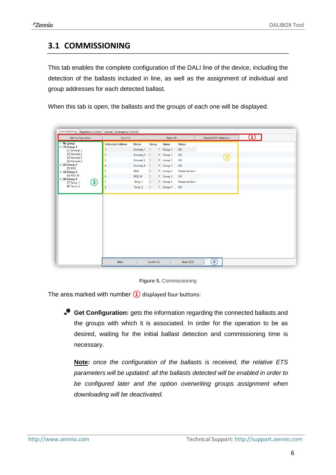#### <span id="page-5-0"></span>**3.1 COMMISSIONING**

This tab enables the complete configuration of the DALI line of the device, including the detection of the ballasts included in line, as well as the assignment of individual and group addresses for each detected ballast.

When this tab is open, the ballasts and the groups of each one will be displayed.

| <b>Get Configuration</b>                                                      |          |                           | Commit              |                |  | <b>Reset All</b>              |                       | <b>Disable ECG Detection</b> | $\bf(1)$ |  |
|-------------------------------------------------------------------------------|----------|---------------------------|---------------------|----------------|--|-------------------------------|-----------------------|------------------------------|----------|--|
| ▷ No group                                                                    |          | <b>Individual Address</b> | Name                | Group          |  | Name                          | <b>Status</b>         |                              |          |  |
| 4 [1] Group 1<br>[1] Normal_1<br>[2] Normal_2<br>[3] Normal_3<br>[4] Normal_4 |          |                           | Normal_1            | $\overline{1}$ |  | $\sqrt{\phantom{a}}$ Group 1  | OK                    |                              |          |  |
|                                                                               |          | $\overline{c}$            | Normal <sub>2</sub> | $\blacksquare$ |  | $\sqrt{\phantom{a}}$ Group 1  | OK                    | ( ?                          |          |  |
|                                                                               |          | 3                         | Normal_3 1          |                |  | $\blacktriangledown$ Group 1  | OK                    |                              |          |  |
| 4 [2] Group 2<br>$[5]$ RGB                                                    |          | 4                         | Normal_4            | $\overline{1}$ |  | $\blacktriangledown$ Group 1  | OK                    |                              |          |  |
| 4 [3] Group 3                                                                 |          | 5                         | <b>RGB</b>          | $\overline{2}$ |  | $\blacktriangleright$ Group 2 | <b>Presence Error</b> |                              |          |  |
| [6] RGB_W<br>4 [4] Group 4                                                    |          | 6                         | RGB_W               | $\overline{3}$ |  | $\blacktriangleright$ Group 3 | OK                    |                              |          |  |
| [7] Temp_1                                                                    | $\bf(3)$ | 7                         | Temp_1              | $\overline{4}$ |  | $\blacktriangledown$ Group 4  | <b>Presence Error</b> |                              |          |  |
| [8] Temp_2                                                                    |          | 8                         | Temp_2              | $\overline{4}$ |  | $\blacktriangledown$ Group 4  | OK                    |                              |          |  |
|                                                                               |          |                           |                     |                |  |                               |                       |                              |          |  |
|                                                                               |          |                           |                     |                |  |                               |                       |                              |          |  |

**Figure 5.** Commissioning

The area marked with number  $\Omega$  displayed four buttons:

**Get Configuration:** gets the information regarding the connected ballasts and the groups with which it is associated. In order for the operation to be as desired, waiting for the initial ballast detection and commissioning time is necessary.

**Note:** *once the configuration of the ballasts is received, the relative ETS parameters will be updated: all the ballasts detected will be enabled in order to be configured later and the option overwriting groups assignment when downloading will be deactivated.*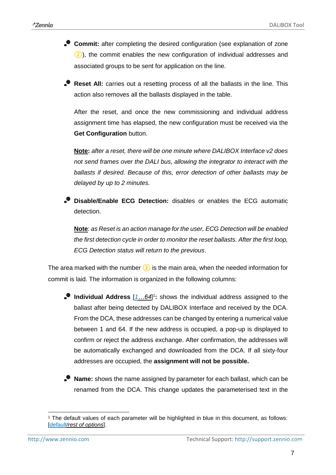- **Commit:** after completing the desired configuration (see explanation of zone **②**), the commit enables the new configuration of individual addresses and associated groups to be sent for application on the line.
- **Reset All:** carries out a resetting process of all the ballasts in the line. This action also removes all the ballasts displayed in the table.

After the reset, and once the new commissioning and individual address assignment time has elapsed, the new configuration must be received via the **Get Configuration** button.

**Note:** *after a reset, there will be one minute where DALIBOX Interface v2 does not send frames over the DALI bus, allowing the integrator to interact with the ballasts if desired. Because of this, error detection of other ballasts may be delayed by up to 2 minutes.*

**Disable/Enable ECG Detection:** disables or enables the ECG automatic detection.

**Note**: *as Reset is an action manage for the user, ECG Detection will be enabled the first detection cycle in order to monitor the reset ballasts. After the first loop, ECG Detection status will return to the previous*.

The area marked with the number **②** is the main area, when the needed information for commit is laid. The information is organized in the following columns:

- **Individual Address** [*1…64*] 1 **:** shows the individual address assigned to the ballast after being detected by DALIBOX Interface and received by the DCA. From the DCA, these addresses can be changed by entering a numerical value between 1 and 64. If the new address is occupied, a pop-up is displayed to confirm or reject the address exchange. After confirmation, the addresses will be automatically exchanged and downloaded from the DCA. If all sixty-four addresses are occupied, the **assignment will not be possible.**
- **Name:** shows the name assigned by parameter for each ballast, which can be renamed from the DCA. This change updates the parameterised text in the

<sup>-</sup><sup>1</sup> The default values of each parameter will be highlighted in blue in this document, as follows: [*default/rest of options*].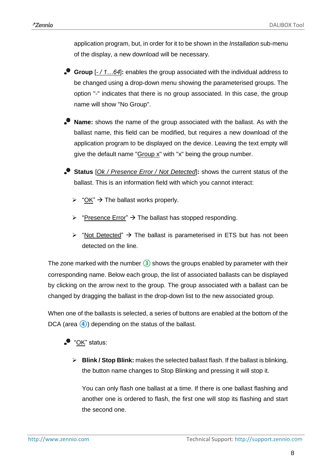application program, but, in order for it to be shown in the *Installation* sub-menu of the display, a new download will be necessary.

- **Group** [*- / 1…64*]**:** enables the group associated with the individual address to be changed using a drop-down menu showing the parameterised groups. The option "-" indicates that there is no group associated. In this case, the group name will show "No Group".
- **Name:** shows the name of the group associated with the ballast. As with the ballast name, this field can be modified, but requires a new download of the application program to be displayed on the device. Leaving the text empty will give the default name " $Group x$ " with "x" being the group number.
- **Status** [*Ok / Presence Error / Not Detected*]**:** shows the current status of the ballast. This is an information field with which you cannot interact:
	- $\triangleright$  "OK"  $\rightarrow$  The ballast works properly.
	- "Presence Error"  $\rightarrow$  The ballast has stopped responding.
	- $\triangleright$  "Not Detected"  $\rightarrow$  The ballast is parameterised in ETS but has not been detected on the line.

The zone marked with the number **③** shows the groups enabled by parameter with their corresponding name. Below each group, the list of associated ballasts can be displayed by clicking on the arrow next to the group. The group associated with a ballast can be changed by dragging the ballast in the drop-down list to the new associated group.

When one of the ballasts is selected, a series of buttons are enabled at the bottom of the DCA (area (4)) depending on the status of the ballast.



➢ **Blink / Stop Blink:** makes the selected ballast flash. If the ballast is blinking, the button name changes to Stop Blinking and pressing it will stop it.

You can only flash one ballast at a time. If there is one ballast flashing and another one is ordered to flash, the first one will stop its flashing and start the second one.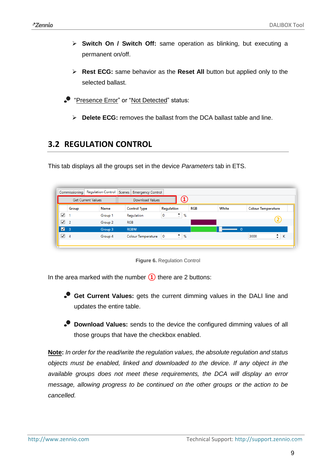- ➢ **Switch On / Switch Off:** same operation as blinking, but executing a permanent on/off.
- ➢ **Rest ECG:** same behavior as the **Reset All** button but applied only to the selected ballast.
- "Presence Error" or "Not Detected" status:
	- ➢ **Delete ECG:** removes the ballast from the DCA ballast table and line.

#### <span id="page-8-0"></span>**3.2 REGULATION CONTROL**

This tab displays all the groups set in the device *Parameters* tab in ETS.

|                         |                |                           | Commissioning Regulation Control Scenes   Emergency Control |                                    |            |          |                           |        |
|-------------------------|----------------|---------------------------|-------------------------------------------------------------|------------------------------------|------------|----------|---------------------------|--------|
|                         |                | <b>Get Current Values</b> | <b>Download Values</b>                                      |                                    |            |          |                           |        |
|                         | Group          | Name                      | <b>Control Type</b>                                         | <b>Regulation</b>                  | <b>RGB</b> | White    | <b>Colour Temperature</b> |        |
| $\overline{\mathsf{v}}$ |                | Group 1                   | Regulation                                                  | ٠<br>%<br>0<br>$\mathbf{v}$        |            |          |                           |        |
| $\overline{\mathsf{v}}$ | $\overline{2}$ | Group 2                   | RGB                                                         |                                    |            |          |                           |        |
| $\sqrt{3}$              |                | Group 3                   | <b>RGBW</b>                                                 |                                    |            | $\Omega$ |                           |        |
| ⊽                       | -4             | Group 4                   | Colour Temperature                                          | ÷<br>%<br>$\overline{\phantom{0}}$ |            |          | 3000                      | ÷<br>К |
|                         |                |                           |                                                             |                                    |            |          |                           |        |

**Figure 6.** Regulation Control

In the area marked with the number  $(1)$  there are 2 buttons:

**Get Current Values:** gets the current dimming values in the DALI line and updates the entire table.

**Download Values:** sends to the device the configured dimming values of all those groups that have the checkbox enabled.

**Note:** *In order for the read/write the regulation values, the absolute regulation and status objects must be enabled, linked and downloaded to the device. If any object in the available groups does not meet these requirements, the DCA will display an error message, allowing progress to be continued on the other groups or the action to be cancelled.*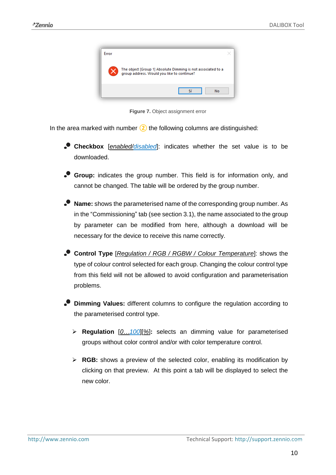

**Figure 7.** Object assignment error

In the area marked with number **②** the following columns are distinguished:

- **Checkbox** [*enabled/disabled*]: indicates whether the set value is to be downloaded.
- **Group:** indicates the group number. This field is for information only, and cannot be changed. The table will be ordered by the group number.
- **Name:** shows the parameterised name of the corresponding group number. As in the "Commissioning" tab (see sectio[n 3.1\)](#page-5-0), the name associated to the group by parameter can be modified from here, although a download will be necessary for the device to receive this name correctly.
- **Control Type** [*Regulation / RGB / RGBW / Colour Temperature*]: shows the type of colour control selected for each group. Changing the colour control type from this field will not be allowed to avoid configuration and parameterisation problems.
- **Dimming Values:** different columns to configure the regulation according to the parameterised control type.
	- ➢ **Regulation** [*0…100*][*%*]**:** selects an dimming value for parameterised groups without color control and/or with color temperature control.
	- ➢ **RGB:** shows a preview of the selected color, enabling its modification by clicking on that preview. At this point a tab will be displayed to select the new color.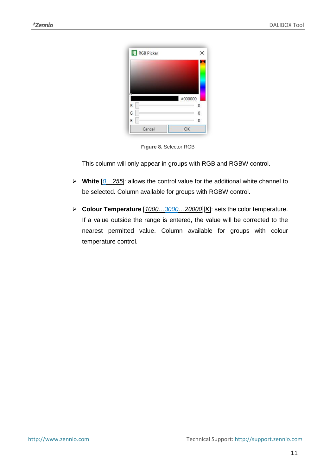| <b>H</b> RGB Picker | ×       |
|---------------------|---------|
|                     |         |
|                     |         |
| e                   | #000000 |
|                     |         |
|                     |         |
| R<br>G<br>B         | O       |

**Figure 8.** Selector RGB

This column will only appear in groups with RGB and RGBW control.

- ➢ **White** [*0…255*]: allows the control value for the additional white channel to be selected. Column available for groups with RGBW control.
- ➢ **Colour Temperature** [*1000…3000…20000*][*K*]: sets the color temperature. If a value outside the range is entered, the value will be corrected to the nearest permitted value. Column available for groups with colour temperature control.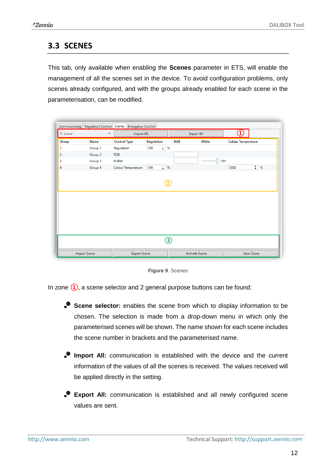#### <span id="page-11-0"></span>**3.3 SCENES**

This tab, only available when enabling the **Scenes** parameter in ETS, will enable the management of all the scenes set in the device. To avoid configuration problems, only scenes already configured, and with the groups already enabled for each scene in the parameterisation, can be modified.

| Commissioning  | Regulation Control Scenes | <b>Emergency Control</b> |                             |            |                                 |                           |
|----------------|---------------------------|--------------------------|-----------------------------|------------|---------------------------------|---------------------------|
| [1] Scene 1    | $\overline{\phantom{a}}$  | Import All               |                             |            | <b>Export All</b>               | 1                         |
| Group          | Name                      | <b>Control Type</b>      | Regulation                  | <b>RGB</b> | White                           | <b>Colour Temperature</b> |
| 1              | Group 1                   | Regulation               | $\hat{ }$ %<br>100          |            |                                 |                           |
| $\overline{2}$ | Group 2                   | <b>RGB</b>               |                             |            |                                 |                           |
| 3              | Group 3                   | <b>RGBW</b>              |                             |            | 255<br>$\overline{\phantom{a}}$ |                           |
| 4              | Group 4                   | Colour Temperature       | $\hat{\mathbb{I}}$ %<br>100 |            |                                 | $\div$ K<br>3000          |
|                |                           |                          |                             |            |                                 |                           |
|                |                           |                          | 3)                          |            |                                 |                           |
|                | <b>Import Scene</b>       | <b>Export Scene</b>      |                             |            | <b>Activate Scene</b>           | Save Scene                |

**Figure 9**. Scenes

In zone  $(1)$ , a scene selector and 2 general purpose buttons can be found:

- **Scene selector:** enables the scene from which to display information to be chosen. The selection is made from a drop-down menu in which only the parameterised scenes will be shown. The name shown for each scene includes the scene number in brackets and the parameterised name.
- **Import All:** communication is established with the device and the current information of the values of all the scenes is received. The values received will be applied directly in the setting.
- **Export All:** communication is established and all newly configured scene values are sent.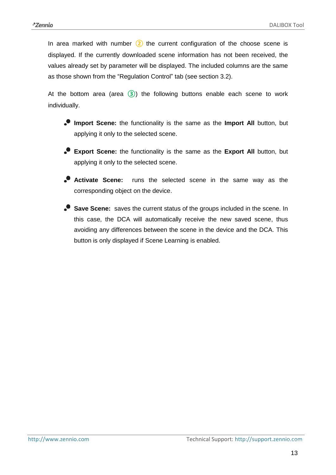In area marked with number **②** the current configuration of the choose scene is displayed. If the currently downloaded scene information has not been received, the values already set by parameter will be displayed. The included columns are the same as those shown from the "Regulation Control" tab (see section [3.2\)](#page-8-0).

At the bottom area (area **③**) the following buttons enable each scene to work individually.

- **Import Scene:** the functionality is the same as the **Import All** button, but applying it only to the selected scene.
- **Export Scene:** the functionality is the same as the **Export All** button, but applying it only to the selected scene.
- **Activate Scene:** runs the selected scene in the same way as the corresponding object on the device.
- **Save Scene:** saves the current status of the groups included in the scene. In this case, the DCA will automatically receive the new saved scene, thus avoiding any differences between the scene in the device and the DCA. This button is only displayed if Scene Learning is enabled.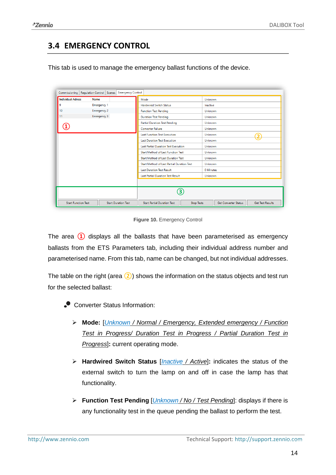### <span id="page-13-0"></span>**3.4 EMERGENCY CONTROL**

This tab is used to manage the emergency ballast functions of the device.

|                            | <b>Emergency Control</b><br>Commissioning   Regulation Control   Scenes |                                                         |                                                        |
|----------------------------|-------------------------------------------------------------------------|---------------------------------------------------------|--------------------------------------------------------|
| <b>Individual Adress</b>   | Name                                                                    | Mode                                                    | Unknown                                                |
| 9                          | <b>Emergency 1</b>                                                      | <b>Hardwired Switch Status</b>                          | Inactive                                               |
| 10 <sup>10</sup>           | <b>Emergency 2</b>                                                      | <b>Function Test Pending</b>                            | Unknown                                                |
| 11                         | Emergency 3                                                             | <b>Duration Test Pending</b>                            | Unknown                                                |
|                            |                                                                         | Partial Duration Test Pending                           | Unknown                                                |
|                            |                                                                         | <b>Converter Failure</b>                                | Unknown                                                |
|                            |                                                                         | <b>Last Function Test Execution</b>                     | Unknown                                                |
|                            |                                                                         | <b>Last Duration Test Execution</b>                     | Unknown                                                |
|                            |                                                                         | <b>Last Partial Duration Test Execution</b>             | Unknown                                                |
|                            |                                                                         | Start Method of Last Function Test                      | Unknown                                                |
|                            |                                                                         | Start Method of Last Duration Test                      | Unknown                                                |
|                            |                                                                         | Start Method of Last Partial Duration Test              | Unknown                                                |
|                            |                                                                         | <b>Last Duration Test Result</b>                        | 0 Minutes                                              |
|                            |                                                                         | <b>Last Partial Duration Test Result</b>                | Unknown                                                |
|                            |                                                                         |                                                         |                                                        |
|                            |                                                                         |                                                         |                                                        |
| <b>Start Function Test</b> | <b>Start Duration Test</b>                                              | <b>Start Partial Duration Test</b><br><b>Stop Tests</b> | <b>Get Converter Status</b><br><b>Get Test Results</b> |

**Figure 10. Emergency Control** 

The area **①** displays all the ballasts that have been parameterised as emergency ballasts from the ETS Parameters tab, including their individual address number and parameterised name. From this tab, name can be changed, but not individual addresses.

The table on the right (area **②**) shows the information on the status objects and test run for the selected ballast:

- Converter Status Information:
	- ➢ **Mode:** [*Unknown / Normal / Emergency, Extended emergency / Function Test in Progress/ Duration Test in Progress / Partial Duration Test in Progress*]**:** current operating mode.
	- ➢ **Hardwired Switch Status** [*Inactive / Active*]**:** indicates the status of the external switch to turn the lamp on and off in case the lamp has that functionality.
	- ➢ **Function Test Pending** [*Unknown / No / Test Pending*]: displays if there is any functionality test in the queue pending the ballast to perform the test.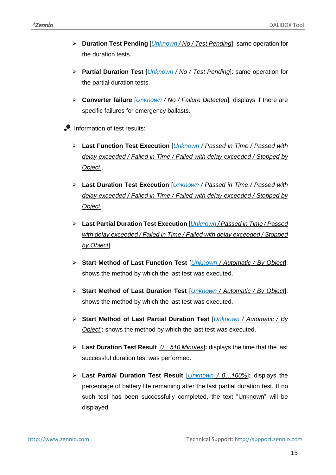- ➢ **Duration Test Pending** [*Unknown / No / Test Pending*]: same operation for the duration tests.
- ➢ **Partial Duration Test** [*Unknown / No / Test Pending*]: same operation for the partial duration tests.
- ➢ **Converter failure** [*Unknown / No / Failure Detected*]: displays if there are specific failures for emergency ballasts.
- **Information of test results:** 
	- ➢ **Last Function Test Execution** [*Unknown / Passed in Time / Passed with delay exceeded / Failed in Time / Failed with delay exceeded / Stopped by Object*].
	- ➢ **Last Duration Test Execution** [*Unknown / Passed in Time / Passed with delay exceeded / Failed in Time / Failed with delay exceeded / Stopped by Object*].
	- ➢ **Last Partial Duration Test Execution** [*Unknown / Passed in Time / Passed*  with delay exceeded / Failed in Time / Failed with delay exceeded / Stopped *by Object*].
	- ➢ **Start Method of Last Function Test** [*Unknown / Automatic / By Object*]: shows the method by which the last test was executed.
	- ➢ **Start Method of Last Duration Test** [*Unknown / Automatic / By Object*]: shows the method by which the last test was executed.
	- ➢ **Start Method of Last Partial Duration Test** [*Unknown / Automatic / By Object*]: shows the method by which the last test was executed.
	- ➢ **Last Duration Test Result** [*0…510 Minutes*]**:** displays the time that the last successful duration test was performed.
	- ➢ **Last Partial Duration Test Result** [*Unknown / 0…100%*]**:** displays the percentage of battery life remaining after the last partial duration test. If no such test has been successfully completed, the text "Unknown" will be displayed.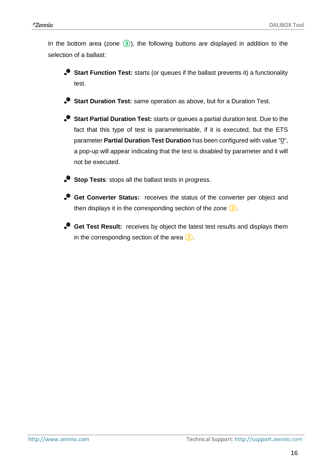In the bottom area (zone **③**), the following buttons are displayed in addition to the selection of a ballast:

- **Start Function Test:** starts (or queues if the ballast prevents it) a functionality test.
- **Start Duration Test:** same operation as above, but for a Duration Test.
- **Start Partial Duration Test:** starts or queues a partial duration test. Due to the fact that this type of test is parameterisable, if it is executed, but the ETS parameter **Partial Duration Test Duration** has been configured with value "0", a pop-up will appear indicating that the test is disabled by parameter and it will not be executed.
- .º **Stop Tests: stops all the ballast tests in progress.**
- **Get Converter Status:** receives the status of the converter per object and then displays it in the corresponding section of the zone **②**.
- **Get Test Result:** receives by object the latest test results and displays them in the corresponding section of the area **②**.